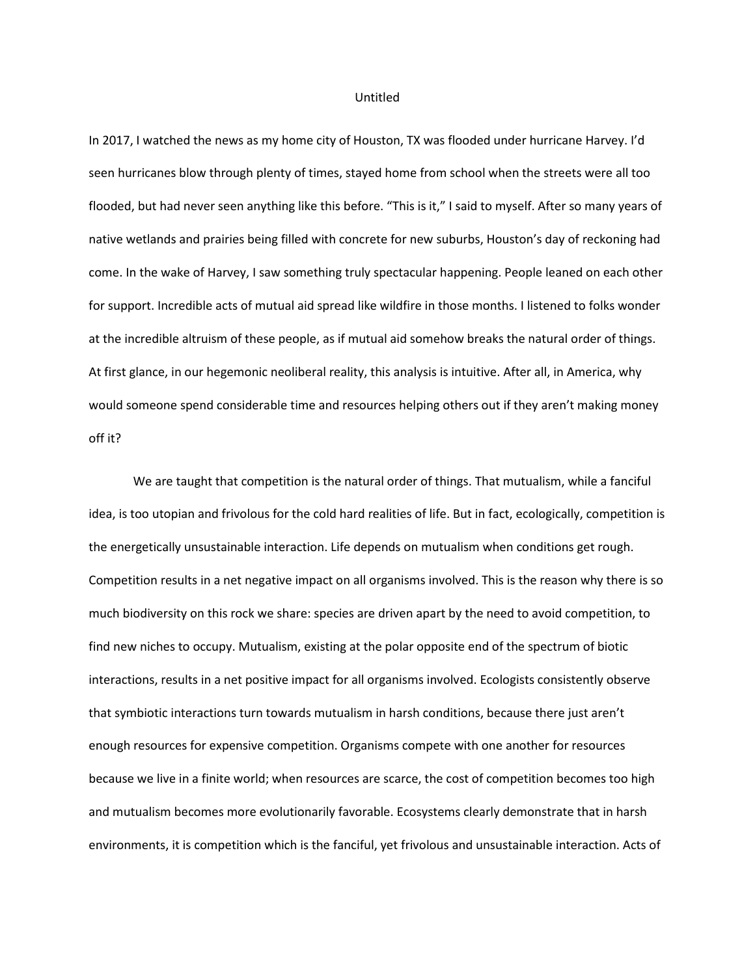#### Untitled

In 2017, I watched the news as my home city of Houston, TX was flooded under hurricane Harvey. I'd seen hurricanes blow through plenty of times, stayed home from school when the streets were all too flooded, but had never seen anything like this before. "This is it," I said to myself. After so many years of native wetlands and prairies being filled with concrete for new suburbs, Houston's day of reckoning had come. In the wake of Harvey, I saw something truly spectacular happening. People leaned on each other for support. Incredible acts of mutual aid spread like wildfire in those months. I listened to folks wonder at the incredible altruism of these people, as if mutual aid somehow breaks the natural order of things. At first glance, in our hegemonic neoliberal reality, this analysis is intuitive. After all, in America, why would someone spend considerable time and resources helping others out if they aren't making money off it?

We are taught that competition is the natural order of things. That mutualism, while a fanciful idea, is too utopian and frivolous for the cold hard realities of life. But in fact, ecologically, competition is the energetically unsustainable interaction. Life depends on mutualism when conditions get rough. Competition results in a net negative impact on all organisms involved. This is the reason why there is so much biodiversity on this rock we share: species are driven apart by the need to avoid competition, to find new niches to occupy. Mutualism, existing at the polar opposite end of the spectrum of biotic interactions, results in a net positive impact for all organisms involved. Ecologists consistently observe that symbiotic interactions turn towards mutualism in harsh conditions, because there just aren't enough resources for expensive competition. Organisms compete with one another for resources because we live in a finite world; when resources are scarce, the cost of competition becomes too high and mutualism becomes more evolutionarily favorable. Ecosystems clearly demonstrate that in harsh environments, it is competition which is the fanciful, yet frivolous and unsustainable interaction. Acts of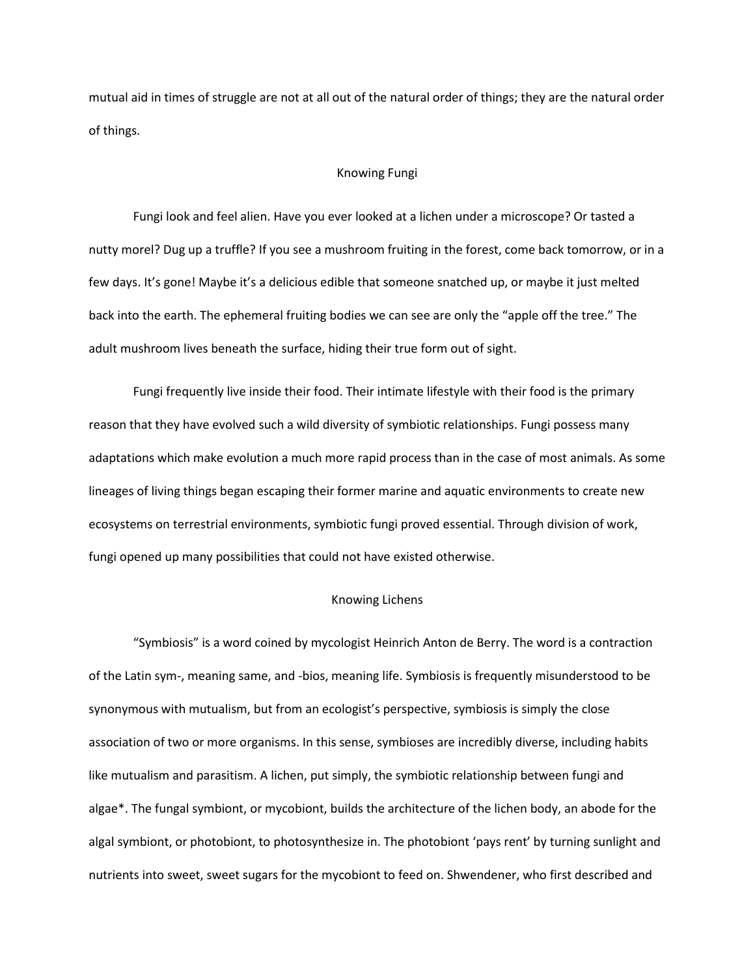mutual aid in times of struggle are not at all out of the natural order of things; they are the natural order of things.

### Knowing Fungi

Fungi look and feel alien. Have you ever looked at a lichen under a microscope? Or tasted a nutty morel? Dug up a truffle? If you see a mushroom fruiting in the forest, come back tomorrow, or in a few days. It's gone! Maybe it's a delicious edible that someone snatched up, or maybe it just melted back into the earth. The ephemeral fruiting bodies we can see are only the "apple off the tree." The adult mushroom lives beneath the surface, hiding their true form out of sight.

Fungi frequently live inside their food. Their intimate lifestyle with their food is the primary reason that they have evolved such a wild diversity of symbiotic relationships. Fungi possess many adaptations which make evolution a much more rapid process than in the case of most animals. As some lineages of living things began escaping their former marine and aquatic environments to create new ecosystems on terrestrial environments, symbiotic fungi proved essential. Through division of work, fungi opened up many possibilities that could not have existed otherwise.

## Knowing Lichens

"Symbiosis" is a word coined by mycologist Heinrich Anton de Berry. The word is a contraction of the Latin sym-, meaning same, and -bios, meaning life. Symbiosis is frequently misunderstood to be synonymous with mutualism, but from an ecologist's perspective, symbiosis is simply the close association of two or more organisms. In this sense, symbioses are incredibly diverse, including habits like mutualism and parasitism. A lichen, put simply, the symbiotic relationship between fungi and algae\*. The fungal symbiont, or mycobiont, builds the architecture of the lichen body, an abode for the algal symbiont, or photobiont, to photosynthesize in. The photobiont 'pays rent' by turning sunlight and nutrients into sweet, sweet sugars for the mycobiont to feed on. Shwendener, who first described and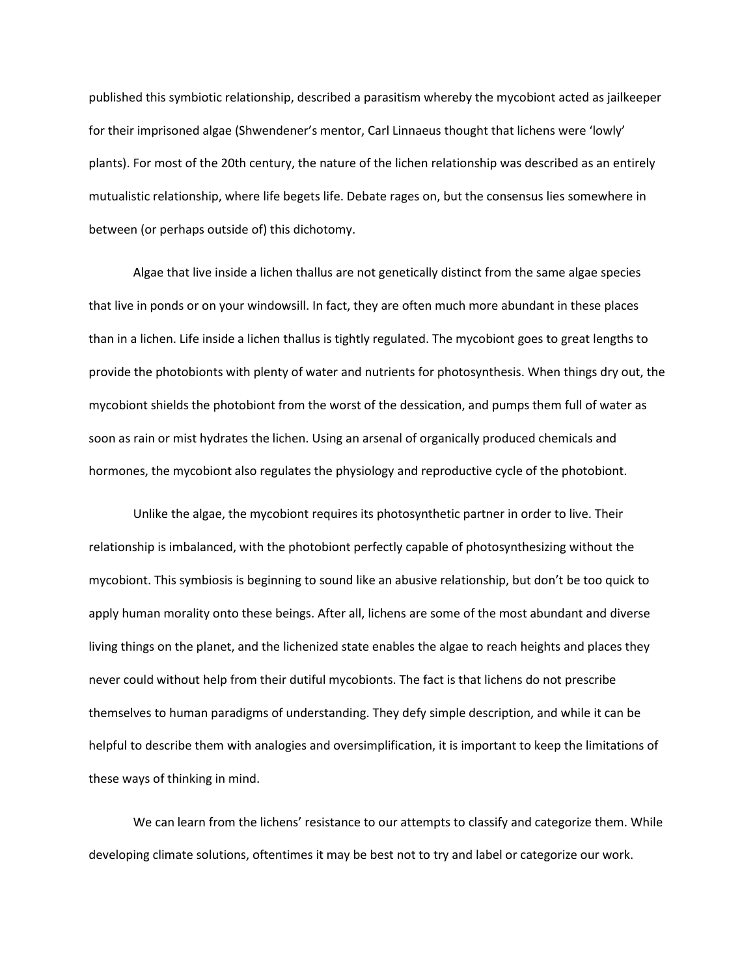published this symbiotic relationship, described a parasitism whereby the mycobiont acted as jailkeeper for their imprisoned algae (Shwendener's mentor, Carl Linnaeus thought that lichens were 'lowly' plants). For most of the 20th century, the nature of the lichen relationship was described as an entirely mutualistic relationship, where life begets life. Debate rages on, but the consensus lies somewhere in between (or perhaps outside of) this dichotomy.

Algae that live inside a lichen thallus are not genetically distinct from the same algae species that live in ponds or on your windowsill. In fact, they are often much more abundant in these places than in a lichen. Life inside a lichen thallus is tightly regulated. The mycobiont goes to great lengths to provide the photobionts with plenty of water and nutrients for photosynthesis. When things dry out, the mycobiont shields the photobiont from the worst of the dessication, and pumps them full of water as soon as rain or mist hydrates the lichen. Using an arsenal of organically produced chemicals and hormones, the mycobiont also regulates the physiology and reproductive cycle of the photobiont.

Unlike the algae, the mycobiont requires its photosynthetic partner in order to live. Their relationship is imbalanced, with the photobiont perfectly capable of photosynthesizing without the mycobiont. This symbiosis is beginning to sound like an abusive relationship, but don't be too quick to apply human morality onto these beings. After all, lichens are some of the most abundant and diverse living things on the planet, and the lichenized state enables the algae to reach heights and places they never could without help from their dutiful mycobionts. The fact is that lichens do not prescribe themselves to human paradigms of understanding. They defy simple description, and while it can be helpful to describe them with analogies and oversimplification, it is important to keep the limitations of these ways of thinking in mind.

We can learn from the lichens' resistance to our attempts to classify and categorize them. While developing climate solutions, oftentimes it may be best not to try and label or categorize our work.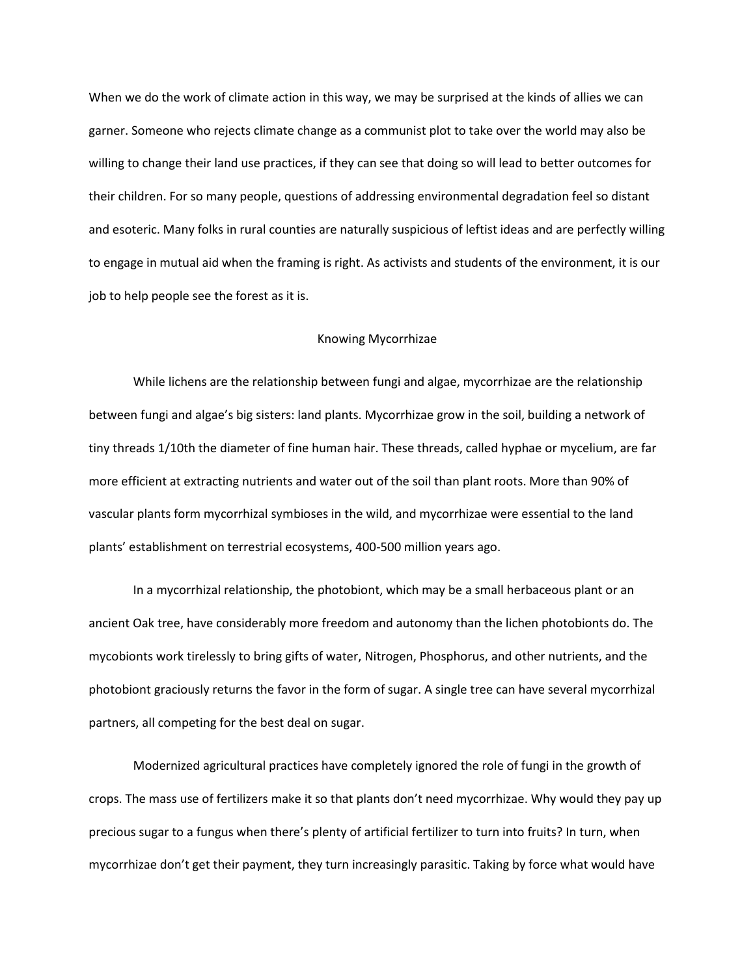When we do the work of climate action in this way, we may be surprised at the kinds of allies we can garner. Someone who rejects climate change as a communist plot to take over the world may also be willing to change their land use practices, if they can see that doing so will lead to better outcomes for their children. For so many people, questions of addressing environmental degradation feel so distant and esoteric. Many folks in rural counties are naturally suspicious of leftist ideas and are perfectly willing to engage in mutual aid when the framing is right. As activists and students of the environment, it is our job to help people see the forest as it is.

# Knowing Mycorrhizae

While lichens are the relationship between fungi and algae, mycorrhizae are the relationship between fungi and algae's big sisters: land plants. Mycorrhizae grow in the soil, building a network of tiny threads 1/10th the diameter of fine human hair. These threads, called hyphae or mycelium, are far more efficient at extracting nutrients and water out of the soil than plant roots. More than 90% of vascular plants form mycorrhizal symbioses in the wild, and mycorrhizae were essential to the land plants' establishment on terrestrial ecosystems, 400-500 million years ago.

In a mycorrhizal relationship, the photobiont, which may be a small herbaceous plant or an ancient Oak tree, have considerably more freedom and autonomy than the lichen photobionts do. The mycobionts work tirelessly to bring gifts of water, Nitrogen, Phosphorus, and other nutrients, and the photobiont graciously returns the favor in the form of sugar. A single tree can have several mycorrhizal partners, all competing for the best deal on sugar.

Modernized agricultural practices have completely ignored the role of fungi in the growth of crops. The mass use of fertilizers make it so that plants don't need mycorrhizae. Why would they pay up precious sugar to a fungus when there's plenty of artificial fertilizer to turn into fruits? In turn, when mycorrhizae don't get their payment, they turn increasingly parasitic. Taking by force what would have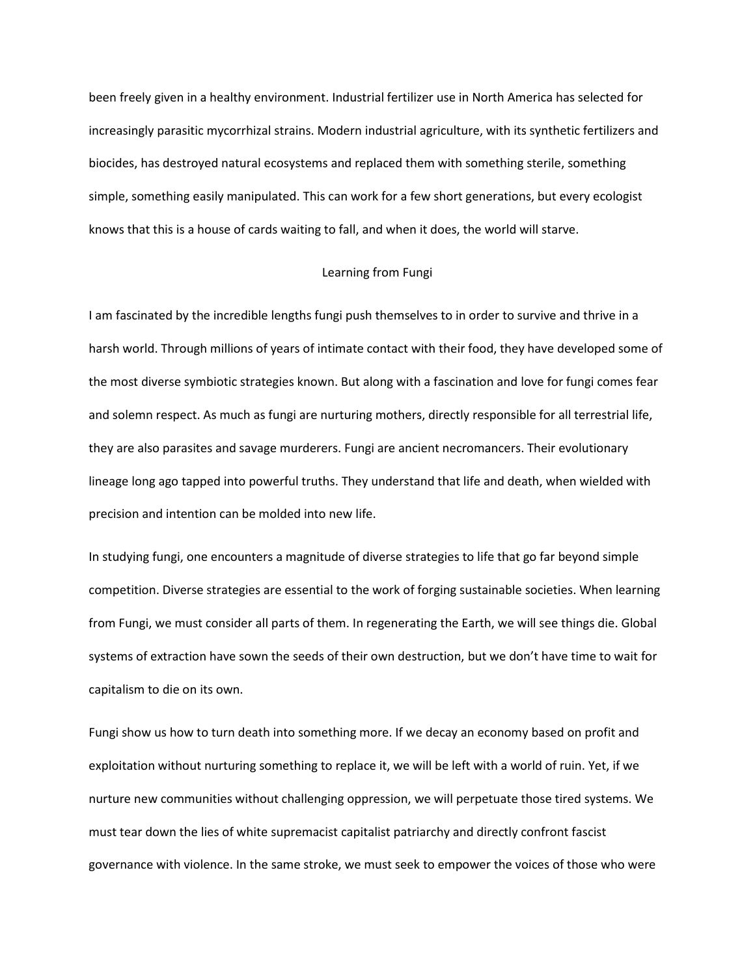been freely given in a healthy environment. Industrial fertilizer use in North America has selected for increasingly parasitic mycorrhizal strains. Modern industrial agriculture, with its synthetic fertilizers and biocides, has destroyed natural ecosystems and replaced them with something sterile, something simple, something easily manipulated. This can work for a few short generations, but every ecologist knows that this is a house of cards waiting to fall, and when it does, the world will starve.

## Learning from Fungi

I am fascinated by the incredible lengths fungi push themselves to in order to survive and thrive in a harsh world. Through millions of years of intimate contact with their food, they have developed some of the most diverse symbiotic strategies known. But along with a fascination and love for fungi comes fear and solemn respect. As much as fungi are nurturing mothers, directly responsible for all terrestrial life, they are also parasites and savage murderers. Fungi are ancient necromancers. Their evolutionary lineage long ago tapped into powerful truths. They understand that life and death, when wielded with precision and intention can be molded into new life.

In studying fungi, one encounters a magnitude of diverse strategies to life that go far beyond simple competition. Diverse strategies are essential to the work of forging sustainable societies. When learning from Fungi, we must consider all parts of them. In regenerating the Earth, we will see things die. Global systems of extraction have sown the seeds of their own destruction, but we don't have time to wait for capitalism to die on its own.

Fungi show us how to turn death into something more. If we decay an economy based on profit and exploitation without nurturing something to replace it, we will be left with a world of ruin. Yet, if we nurture new communities without challenging oppression, we will perpetuate those tired systems. We must tear down the lies of white supremacist capitalist patriarchy and directly confront fascist governance with violence. In the same stroke, we must seek to empower the voices of those who were